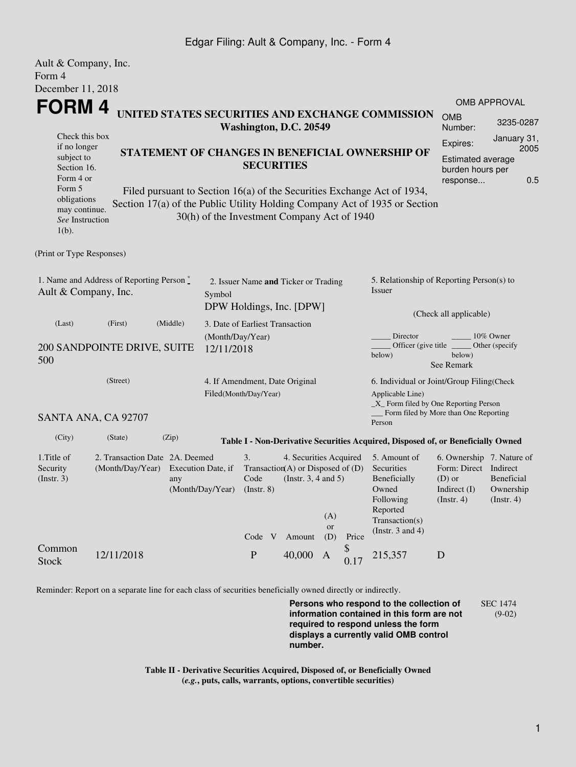### Edgar Filing: Ault & Company, Inc. - Form 4

| Ault & Company, Inc.                                                                           |                                                    |                           |                                             |                                                                                                                                                 |  |                                                                                                   |                         |                       |                                                                                                                         |                                                                                                      |                                        |  |
|------------------------------------------------------------------------------------------------|----------------------------------------------------|---------------------------|---------------------------------------------|-------------------------------------------------------------------------------------------------------------------------------------------------|--|---------------------------------------------------------------------------------------------------|-------------------------|-----------------------|-------------------------------------------------------------------------------------------------------------------------|------------------------------------------------------------------------------------------------------|----------------------------------------|--|
| Form 4                                                                                         |                                                    |                           |                                             |                                                                                                                                                 |  |                                                                                                   |                         |                       |                                                                                                                         |                                                                                                      |                                        |  |
| December 11, 2018                                                                              |                                                    |                           |                                             |                                                                                                                                                 |  |                                                                                                   |                         |                       |                                                                                                                         |                                                                                                      |                                        |  |
| <b>FORM4</b>                                                                                   |                                                    |                           |                                             |                                                                                                                                                 |  |                                                                                                   |                         |                       | <b>OMB APPROVAL</b>                                                                                                     |                                                                                                      |                                        |  |
| UNITED STATES SECURITIES AND EXCHANGE COMMISSION<br>Washington, D.C. 20549                     |                                                    |                           |                                             |                                                                                                                                                 |  |                                                                                                   |                         | <b>OMB</b><br>Number: | 3235-0287                                                                                                               |                                                                                                      |                                        |  |
| Check this box<br>if no longer<br>subject to<br>Section 16.<br>Form 4 or<br>Form 5             |                                                    |                           |                                             | STATEMENT OF CHANGES IN BENEFICIAL OWNERSHIP OF<br><b>SECURITIES</b><br>Filed pursuant to Section 16(a) of the Securities Exchange Act of 1934, |  |                                                                                                   |                         |                       | January 31,<br>Expires:<br>2005<br><b>Estimated average</b><br>burden hours per<br>0.5<br>response                      |                                                                                                      |                                        |  |
| obligations<br>may continue.<br>See Instruction<br>$1(b)$ .                                    |                                                    |                           | 30(h) of the Investment Company Act of 1940 |                                                                                                                                                 |  |                                                                                                   |                         |                       | Section 17(a) of the Public Utility Holding Company Act of 1935 or Section                                              |                                                                                                      |                                        |  |
| (Print or Type Responses)                                                                      |                                                    |                           |                                             |                                                                                                                                                 |  |                                                                                                   |                         |                       |                                                                                                                         |                                                                                                      |                                        |  |
| 1. Name and Address of Reporting Person*<br>Ault & Company, Inc.<br>Symbol                     |                                                    |                           |                                             | 2. Issuer Name and Ticker or Trading<br>DPW Holdings, Inc. [DPW]                                                                                |  |                                                                                                   |                         |                       | 5. Relationship of Reporting Person(s) to<br>Issuer<br>(Check all applicable)                                           |                                                                                                      |                                        |  |
| (Middle)<br>(Last)<br>(First)<br>(Month/Day/Year)<br>200 SANDPOINTE DRIVE, SUITE<br>12/11/2018 |                                                    |                           |                                             | 3. Date of Earliest Transaction                                                                                                                 |  |                                                                                                   |                         |                       | Director<br>10% Owner<br>Officer (give title)<br>Other (specify<br>below)<br>below)                                     |                                                                                                      |                                        |  |
| 500                                                                                            |                                                    |                           |                                             |                                                                                                                                                 |  |                                                                                                   |                         |                       |                                                                                                                         | See Remark                                                                                           |                                        |  |
| (Street)                                                                                       |                                                    |                           |                                             | 4. If Amendment, Date Original<br>Filed(Month/Day/Year)                                                                                         |  |                                                                                                   |                         |                       | 6. Individual or Joint/Group Filing(Check<br>Applicable Line)<br>$\_X$ Form filed by One Reporting Person               |                                                                                                      |                                        |  |
|                                                                                                | SANTA ANA, CA 92707                                |                           |                                             |                                                                                                                                                 |  |                                                                                                   |                         |                       | Form filed by More than One Reporting<br>Person                                                                         |                                                                                                      |                                        |  |
| (City)                                                                                         | (State)                                            | (Zip)                     |                                             |                                                                                                                                                 |  |                                                                                                   |                         |                       | Table I - Non-Derivative Securities Acquired, Disposed of, or Beneficially Owned                                        |                                                                                                      |                                        |  |
| 1. Title of<br>Security<br>(Insert. 3)                                                         | 2. Transaction Date 2A. Deemed<br>(Month/Day/Year) | Execution Date, if<br>any | (Month/Day/Year)                            | 3.<br>Code<br>(Instr. 8)<br>Code V                                                                                                              |  | 4. Securities Acquired<br>Transaction(A) or Disposed of (D)<br>(Instr. $3, 4$ and $5$ )<br>Amount | (A)<br><b>or</b><br>(D) | Price                 | 5. Amount of<br>Securities<br>Beneficially<br>Owned<br>Following<br>Reported<br>Transaction(s)<br>(Instr. $3$ and $4$ ) | 6. Ownership 7. Nature of<br>Form: Direct Indirect<br>$(D)$ or<br>Indirect $(I)$<br>$($ Instr. 4 $)$ | Beneficial<br>Ownership<br>(Insert. 4) |  |
| Common<br><b>Stock</b>                                                                         | 12/11/2018                                         |                           |                                             | ${\bf P}$                                                                                                                                       |  | 40,000                                                                                            | $\mathbf{A}$            | \$<br>0.17            | 215,357                                                                                                                 | D                                                                                                    |                                        |  |

Reminder: Report on a separate line for each class of securities beneficially owned directly or indirectly.

**Persons who respond to the collection of information contained in this form are not required to respond unless the form displays a currently valid OMB control number.** SEC 1474 (9-02)

**Table II - Derivative Securities Acquired, Disposed of, or Beneficially Owned (***e.g.***, puts, calls, warrants, options, convertible securities)**